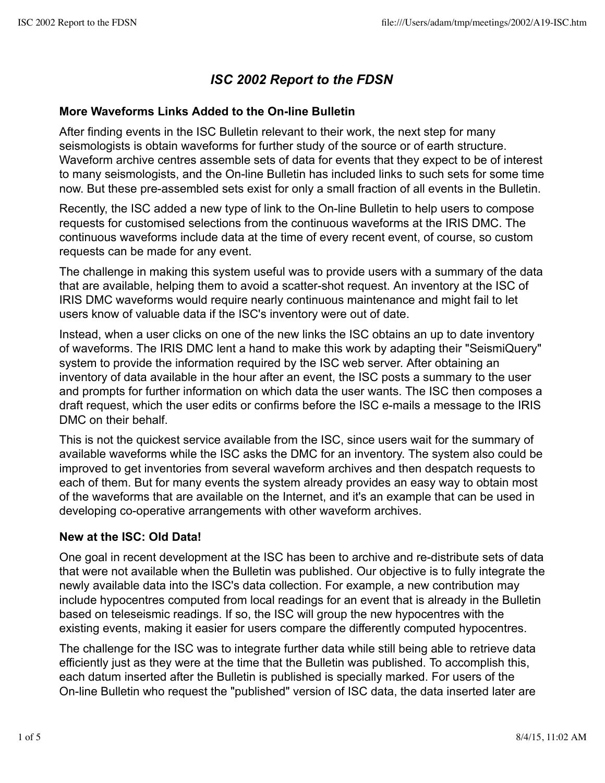# *ISC 2002 Report to the FDSN*

# **More Waveforms Links Added to the On-line Bulletin**

After finding events in the ISC Bulletin relevant to their work, the next step for many seismologists is obtain waveforms for further study of the source or of earth structure. Waveform archive centres assemble sets of data for events that they expect to be of interest to many seismologists, and the On-line Bulletin has included links to such sets for some time now. But these pre-assembled sets exist for only a small fraction of all events in the Bulletin.

Recently, the ISC added a new type of link to the On-line Bulletin to help users to compose requests for customised selections from the continuous waveforms at the IRIS DMC. The continuous waveforms include data at the time of every recent event, of course, so custom requests can be made for any event.

The challenge in making this system useful was to provide users with a summary of the data that are available, helping them to avoid a scatter-shot request. An inventory at the ISC of IRIS DMC waveforms would require nearly continuous maintenance and might fail to let users know of valuable data if the ISC's inventory were out of date.

Instead, when a user clicks on one of the new links the ISC obtains an up to date inventory of waveforms. The IRIS DMC lent a hand to make this work by adapting their "SeismiQuery" system to provide the information required by the ISC web server. After obtaining an inventory of data available in the hour after an event, the ISC posts a summary to the user and prompts for further information on which data the user wants. The ISC then composes a draft request, which the user edits or confirms before the ISC e-mails a message to the IRIS DMC on their behalf.

This is not the quickest service available from the ISC, since users wait for the summary of available waveforms while the ISC asks the DMC for an inventory. The system also could be improved to get inventories from several waveform archives and then despatch requests to each of them. But for many events the system already provides an easy way to obtain most of the waveforms that are available on the Internet, and it's an example that can be used in developing co-operative arrangements with other waveform archives.

# **New at the ISC: Old Data!**

One goal in recent development at the ISC has been to archive and re-distribute sets of data that were not available when the Bulletin was published. Our objective is to fully integrate the newly available data into the ISC's data collection. For example, a new contribution may include hypocentres computed from local readings for an event that is already in the Bulletin based on teleseismic readings. If so, the ISC will group the new hypocentres with the existing events, making it easier for users compare the differently computed hypocentres.

The challenge for the ISC was to integrate further data while still being able to retrieve data efficiently just as they were at the time that the Bulletin was published. To accomplish this, each datum inserted after the Bulletin is published is specially marked. For users of the On-line Bulletin who request the "published" version of ISC data, the data inserted later are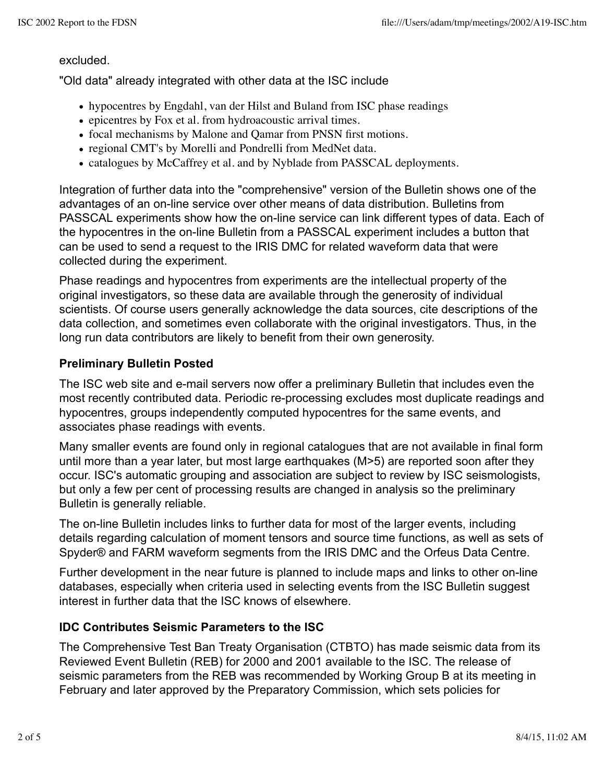#### excluded.

"Old data" already integrated with other data at the ISC include

- hypocentres by Engdahl, van der Hilst and Buland from ISC phase readings
- epicentres by Fox et al. from hydroacoustic arrival times.
- focal mechanisms by Malone and Qamar from PNSN first motions.
- regional CMT's by Morelli and Pondrelli from MedNet data.
- catalogues by McCaffrey et al. and by Nyblade from PASSCAL deployments.

Integration of further data into the "comprehensive" version of the Bulletin shows one of the advantages of an on-line service over other means of data distribution. Bulletins from PASSCAL experiments show how the on-line service can link different types of data. Each of the hypocentres in the on-line Bulletin from a PASSCAL experiment includes a button that can be used to send a request to the IRIS DMC for related waveform data that were collected during the experiment.

Phase readings and hypocentres from experiments are the intellectual property of the original investigators, so these data are available through the generosity of individual scientists. Of course users generally acknowledge the data sources, cite descriptions of the data collection, and sometimes even collaborate with the original investigators. Thus, in the long run data contributors are likely to benefit from their own generosity.

### **Preliminary Bulletin Posted**

The ISC web site and e-mail servers now offer a preliminary Bulletin that includes even the most recently contributed data. Periodic re-processing excludes most duplicate readings and hypocentres, groups independently computed hypocentres for the same events, and associates phase readings with events.

Many smaller events are found only in regional catalogues that are not available in final form until more than a year later, but most large earthquakes (M>5) are reported soon after they occur. ISC's automatic grouping and association are subject to review by ISC seismologists, but only a few per cent of processing results are changed in analysis so the preliminary Bulletin is generally reliable.

The on-line Bulletin includes links to further data for most of the larger events, including details regarding calculation of moment tensors and source time functions, as well as sets of Spyder® and FARM waveform segments from the IRIS DMC and the Orfeus Data Centre.

Further development in the near future is planned to include maps and links to other on-line databases, especially when criteria used in selecting events from the ISC Bulletin suggest interest in further data that the ISC knows of elsewhere.

### **IDC Contributes Seismic Parameters to the ISC**

The Comprehensive Test Ban Treaty Organisation (CTBTO) has made seismic data from its Reviewed Event Bulletin (REB) for 2000 and 2001 available to the ISC. The release of seismic parameters from the REB was recommended by Working Group B at its meeting in February and later approved by the Preparatory Commission, which sets policies for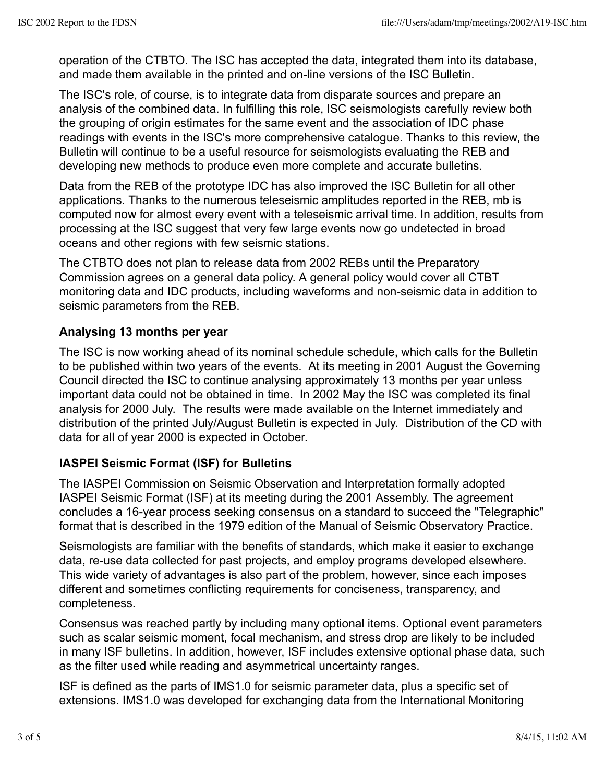operation of the CTBTO. The ISC has accepted the data, integrated them into its database, and made them available in the printed and on-line versions of the ISC Bulletin.

The ISC's role, of course, is to integrate data from disparate sources and prepare an analysis of the combined data. In fulfilling this role, ISC seismologists carefully review both the grouping of origin estimates for the same event and the association of IDC phase readings with events in the ISC's more comprehensive catalogue. Thanks to this review, the Bulletin will continue to be a useful resource for seismologists evaluating the REB and developing new methods to produce even more complete and accurate bulletins.

Data from the REB of the prototype IDC has also improved the ISC Bulletin for all other applications. Thanks to the numerous teleseismic amplitudes reported in the REB, mb is computed now for almost every event with a teleseismic arrival time. In addition, results from processing at the ISC suggest that very few large events now go undetected in broad oceans and other regions with few seismic stations.

The CTBTO does not plan to release data from 2002 REBs until the Preparatory Commission agrees on a general data policy. A general policy would cover all CTBT monitoring data and IDC products, including waveforms and non-seismic data in addition to seismic parameters from the REB.

# **Analysing 13 months per year**

The ISC is now working ahead of its nominal schedule schedule, which calls for the Bulletin to be published within two years of the events. At its meeting in 2001 August the Governing Council directed the ISC to continue analysing approximately 13 months per year unless important data could not be obtained in time. In 2002 May the ISC was completed its final analysis for 2000 July. The results were made available on the Internet immediately and distribution of the printed July/August Bulletin is expected in July. Distribution of the CD with data for all of year 2000 is expected in October.

# **IASPEI Seismic Format (ISF) for Bulletins**

The IASPEI Commission on Seismic Observation and Interpretation formally adopted IASPEI Seismic Format (ISF) at its meeting during the 2001 Assembly. The agreement concludes a 16-year process seeking consensus on a standard to succeed the "Telegraphic" format that is described in the 1979 edition of the Manual of Seismic Observatory Practice.

Seismologists are familiar with the benefits of standards, which make it easier to exchange data, re-use data collected for past projects, and employ programs developed elsewhere. This wide variety of advantages is also part of the problem, however, since each imposes different and sometimes conflicting requirements for conciseness, transparency, and completeness.

Consensus was reached partly by including many optional items. Optional event parameters such as scalar seismic moment, focal mechanism, and stress drop are likely to be included in many ISF bulletins. In addition, however, ISF includes extensive optional phase data, such as the filter used while reading and asymmetrical uncertainty ranges.

ISF is defined as the parts of IMS1.0 for seismic parameter data, plus a specific set of extensions. IMS1.0 was developed for exchanging data from the International Monitoring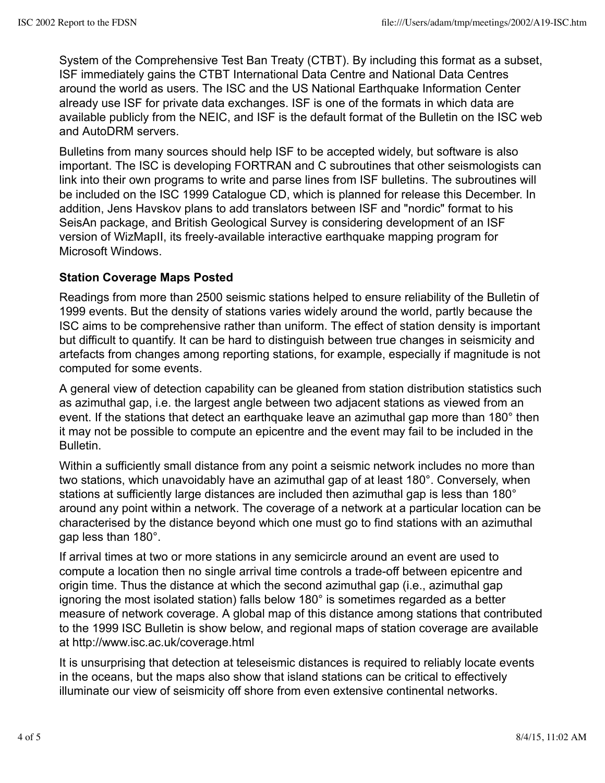System of the Comprehensive Test Ban Treaty (CTBT). By including this format as a subset, ISF immediately gains the CTBT International Data Centre and National Data Centres around the world as users. The ISC and the US National Earthquake Information Center already use ISF for private data exchanges. ISF is one of the formats in which data are available publicly from the NEIC, and ISF is the default format of the Bulletin on the ISC web and AutoDRM servers.

Bulletins from many sources should help ISF to be accepted widely, but software is also important. The ISC is developing FORTRAN and C subroutines that other seismologists can link into their own programs to write and parse lines from ISF bulletins. The subroutines will be included on the ISC 1999 Catalogue CD, which is planned for release this December. In addition, Jens Havskov plans to add translators between ISF and "nordic" format to his SeisAn package, and British Geological Survey is considering development of an ISF version of WizMapII, its freely-available interactive earthquake mapping program for Microsoft Windows.

# **Station Coverage Maps Posted**

Readings from more than 2500 seismic stations helped to ensure reliability of the Bulletin of 1999 events. But the density of stations varies widely around the world, partly because the ISC aims to be comprehensive rather than uniform. The effect of station density is important but difficult to quantify. It can be hard to distinguish between true changes in seismicity and artefacts from changes among reporting stations, for example, especially if magnitude is not computed for some events.

A general view of detection capability can be gleaned from station distribution statistics such as azimuthal gap, i.e. the largest angle between two adjacent stations as viewed from an event. If the stations that detect an earthquake leave an azimuthal gap more than 180° then it may not be possible to compute an epicentre and the event may fail to be included in the Bulletin.

Within a sufficiently small distance from any point a seismic network includes no more than two stations, which unavoidably have an azimuthal gap of at least 180°. Conversely, when stations at sufficiently large distances are included then azimuthal gap is less than 180° around any point within a network. The coverage of a network at a particular location can be characterised by the distance beyond which one must go to find stations with an azimuthal gap less than 180°.

If arrival times at two or more stations in any semicircle around an event are used to compute a location then no single arrival time controls a trade-off between epicentre and origin time. Thus the distance at which the second azimuthal gap (i.e., azimuthal gap ignoring the most isolated station) falls below 180° is sometimes regarded as a better measure of network coverage. A global map of this distance among stations that contributed to the 1999 ISC Bulletin is show below, and regional maps of station coverage are available at http://www.isc.ac.uk/coverage.html

It is unsurprising that detection at teleseismic distances is required to reliably locate events in the oceans, but the maps also show that island stations can be critical to effectively illuminate our view of seismicity off shore from even extensive continental networks.